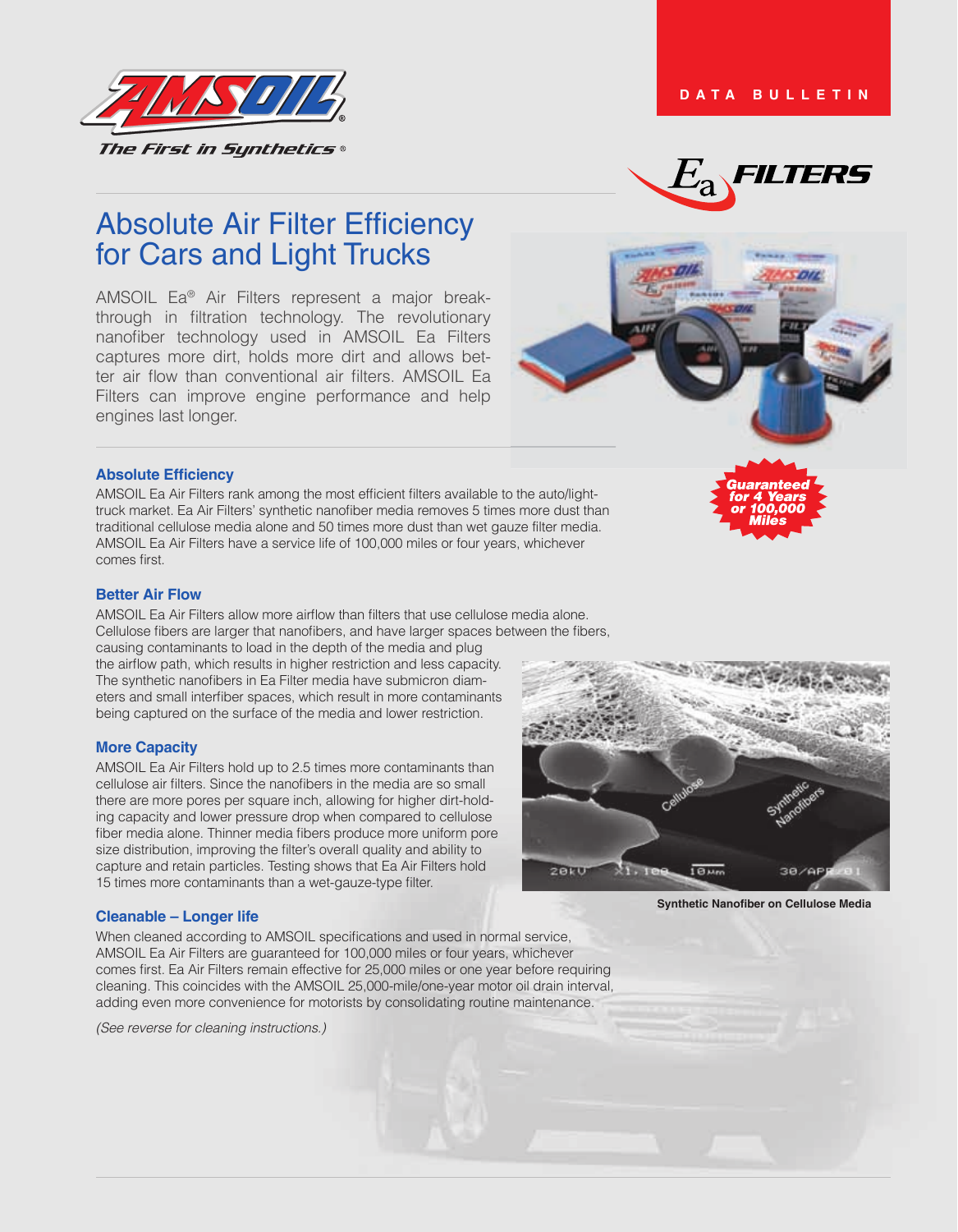



# Absolute Air Filter Efficiency for Cars and Light Trucks

AMSOIL Ea® Air Filters represent a major breakthrough in filtration technology. The revolutionary nanofiber technology used in AMSOIL Ea Filters captures more dirt, holds more dirt and allows better air flow than conventional air filters. AMSOIL Ea Filters can improve engine performance and help engines last longer.

#### **Absolute Efficiency**

AMSOIL Ea Air Filters rank among the most efficient filters available to the auto/lighttruck market. Ea Air Filters' synthetic nanofiber media removes 5 times more dust than traditional cellulose media alone and 50 times more dust than wet gauze filter media. AMSOIL Ea Air Filters have a service life of 100,000 miles or four years, whichever comes first.

#### **Better Air Flow**

AMSOIL Ea Air Filters allow more airflow than filters that use cellulose media alone. Cellulose fibers are larger that nanofibers, and have larger spaces between the fibers, causing contaminants to load in the depth of the media and plug the airflow path, which results in higher restriction and less capacity. The synthetic nanofibers in Ea Filter media have submicron diameters and small interfiber spaces, which result in more contaminants

# **More Capacity**

AMSOIL Ea Air Filters hold up to 2.5 times more contaminants than cellulose air filters. Since the nanofibers in the media are so small there are more pores per square inch, allowing for higher dirt-holding capacity and lower pressure drop when compared to cellulose fiber media alone. Thinner media fibers produce more uniform pore size distribution, improving the filter's overall quality and ability to capture and retain particles. Testing shows that Ea Air Filters hold 15 times more contaminants than a wet-gauze-type filter.

being captured on the surface of the media and lower restriction.

#### **Cleanable – Longer life**

When cleaned according to AMSOIL specifications and used in normal service, AMSOIL Ea Air Filters are guaranteed for 100,000 miles or four years, whichever comes first. Ea Air Filters remain effective for 25,000 miles or one year before requiring cleaning. This coincides with the AMSOIL 25,000-mile/one-year motor oil drain interval, adding even more convenience for motorists by consolidating routine maintenance.

*(See reverse for cleaning instructions.)*



**Synthetic Nanofiber on Cellulose Media**